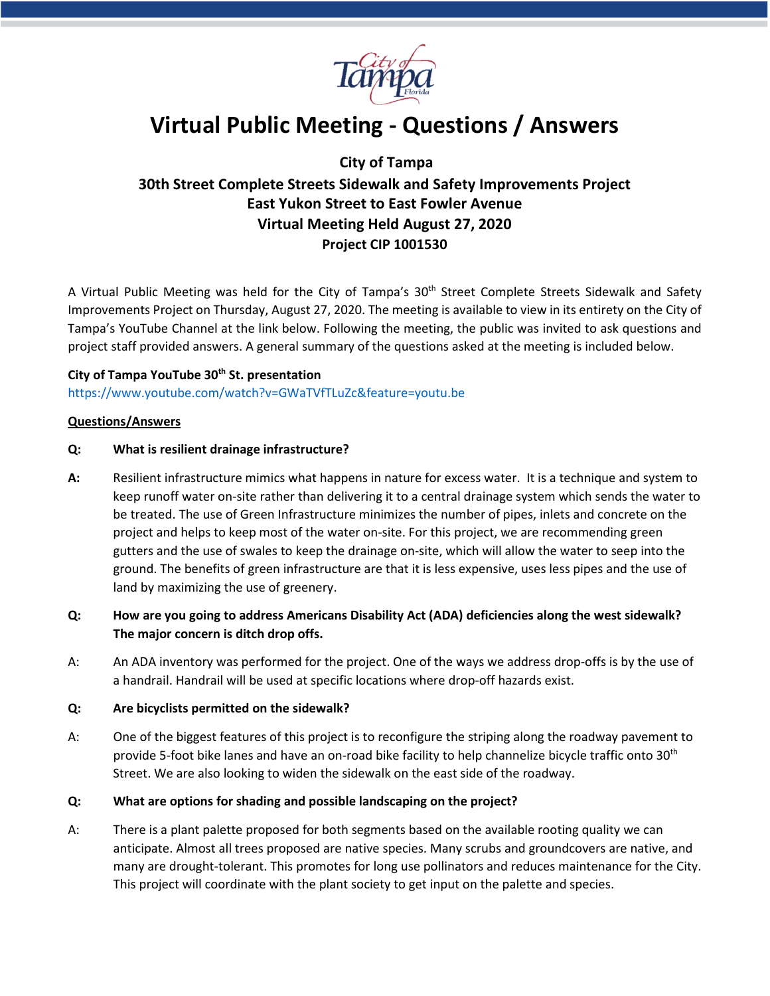

# **Virtual Public Meeting - Questions / Answers**

## **City of Tampa**

# **30th Street Complete Streets Sidewalk and Safety Improvements Project East Yukon Street to East Fowler Avenue Virtual Meeting Held August 27, 2020 Project CIP 1001530**

A Virtual Public Meeting was held for the City of Tampa's 30<sup>th</sup> Street Complete Streets Sidewalk and Safety Improvements Project on Thursday, August 27, 2020. The meeting is available to view in its entirety on the City of Tampa's YouTube Channel at the link below. Following the meeting, the public was invited to ask questions and project staff provided answers. A general summary of the questions asked at the meeting is included below.

# **City of Tampa YouTube 30th St. presentation**

#### <https://www.youtube.com/watch?v=GWaTVfTLuZc&feature=youtu.be>

#### **Questions/Answers**

#### **Q: What is resilient drainage infrastructure?**

**A:** Resilient infrastructure mimics what happens in nature for excess water. It is a technique and system to keep runoff water on-site rather than delivering it to a central drainage system which sends the water to be treated. The use of Green Infrastructure minimizes the number of pipes, inlets and concrete on the project and helps to keep most of the water on-site. For this project, we are recommending green gutters and the use of swales to keep the drainage on-site, which will allow the water to seep into the ground. The benefits of green infrastructure are that it is less expensive, uses less pipes and the use of land by maximizing the use of greenery.

### **Q: How are you going to address Americans Disability Act (ADA) deficiencies along the west sidewalk? The major concern is ditch drop offs.**

A: An ADA inventory was performed for the project. One of the ways we address drop-offs is by the use of a handrail. Handrail will be used at specific locations where drop-off hazards exist.

#### **Q: Are bicyclists permitted on the sidewalk?**

A: One of the biggest features of this project is to reconfigure the striping along the roadway pavement to provide 5-foot bike lanes and have an on-road bike facility to help channelize bicycle traffic onto 30<sup>th</sup> Street. We are also looking to widen the sidewalk on the east side of the roadway.

#### **Q: What are options for shading and possible landscaping on the project?**

A: There is a plant palette proposed for both segments based on the available rooting quality we can anticipate. Almost all trees proposed are native species. Many scrubs and groundcovers are native, and many are drought-tolerant. This promotes for long use pollinators and reduces maintenance for the City. This project will coordinate with the plant society to get input on the palette and species.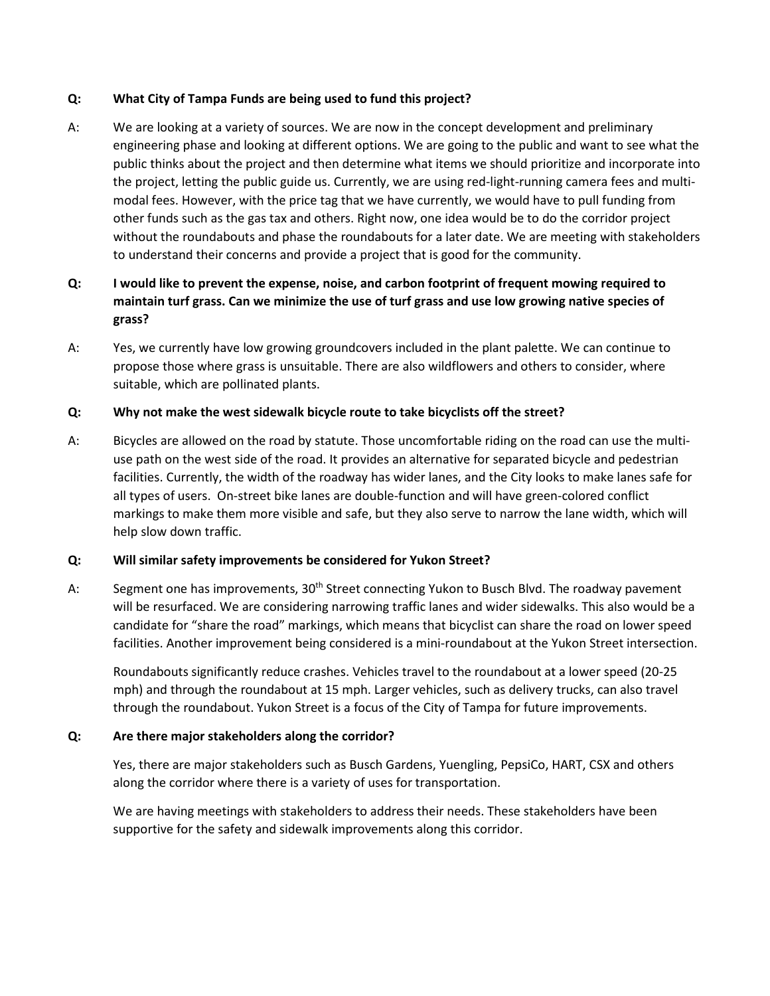#### **Q: What City of Tampa Funds are being used to fund this project?**

A: We are looking at a variety of sources. We are now in the concept development and preliminary engineering phase and looking at different options. We are going to the public and want to see what the public thinks about the project and then determine what items we should prioritize and incorporate into the project, letting the public guide us. Currently, we are using red-light-running camera fees and multimodal fees. However, with the price tag that we have currently, we would have to pull funding from other funds such as the gas tax and others. Right now, one idea would be to do the corridor project without the roundabouts and phase the roundabouts for a later date. We are meeting with stakeholders to understand their concerns and provide a project that is good for the community.

### **Q: I would like to prevent the expense, noise, and carbon footprint of frequent mowing required to maintain turf grass. Can we minimize the use of turf grass and use low growing native species of grass?**

A: Yes, we currently have low growing groundcovers included in the plant palette. We can continue to propose those where grass is unsuitable. There are also wildflowers and others to consider, where suitable, which are pollinated plants.

### **Q: Why not make the west sidewalk bicycle route to take bicyclists off the street?**

A: Bicycles are allowed on the road by statute. Those uncomfortable riding on the road can use the multiuse path on the west side of the road. It provides an alternative for separated bicycle and pedestrian facilities. Currently, the width of the roadway has wider lanes, and the City looks to make lanes safe for all types of users. On-street bike lanes are double-function and will have green-colored conflict markings to make them more visible and safe, but they also serve to narrow the lane width, which will help slow down traffic.

#### **Q: Will similar safety improvements be considered for Yukon Street?**

A: Segment one has improvements, 30<sup>th</sup> Street connecting Yukon to Busch Blvd. The roadway pavement will be resurfaced. We are considering narrowing traffic lanes and wider sidewalks. This also would be a candidate for "share the road" markings, which means that bicyclist can share the road on lower speed facilities. Another improvement being considered is a mini-roundabout at the Yukon Street intersection.

Roundabouts significantly reduce crashes. Vehicles travel to the roundabout at a lower speed (20-25 mph) and through the roundabout at 15 mph. Larger vehicles, such as delivery trucks, can also travel through the roundabout. Yukon Street is a focus of the City of Tampa for future improvements.

### **Q: Are there major stakeholders along the corridor?**

Yes, there are major stakeholders such as Busch Gardens, Yuengling, PepsiCo, HART, CSX and others along the corridor where there is a variety of uses for transportation.

We are having meetings with stakeholders to address their needs. These stakeholders have been supportive for the safety and sidewalk improvements along this corridor.